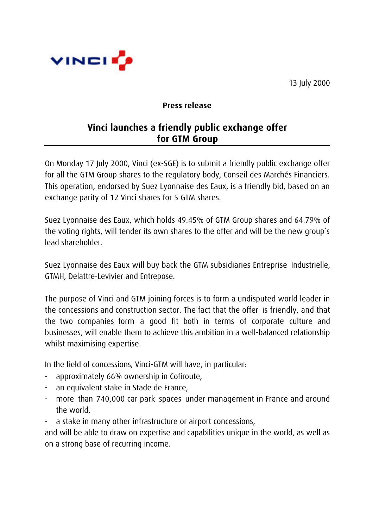



## **Press release**

## **Vinci launches a friendly public exchange offer for GTM Group**

On Monday 17 July 2000, Vinci (ex-SGE) is to submit a friendly public exchange offer for all the GTM Group shares to the regulatory body, Conseil des Marchés Financiers. This operation, endorsed by Suez Lyonnaise des Eaux, is a friendly bid, based on an exchange parity of 12 Vinci shares for 5 GTM shares.

Suez Lyonnaise des Eaux, which holds 49.45% of GTM Group shares and 64.79% of the voting rights, will tender its own shares to the offer and will be the new group's lead shareholder.

Suez Lyonnaise des Eaux will buy back the GTM subsidiaries Entreprise Industrielle, GTMH, Delattre-Levivier and Entrepose.

The purpose of Vinci and GTM joining forces is to form a undisputed world leader in the concessions and construction sector. The fact that the offer is friendly, and that the two companies form a good fit both in terms of corporate culture and businesses, will enable them to achieve this ambition in a well-balanced relationship whilst maximising expertise.

In the field of concessions, Vinci-GTM will have, in particular:

- approximately 66% ownership in Cofiroute,
- an equivalent stake in Stade de France,
- more than 740,000 car park spaces under management in France and around the world,
- a stake in many other infrastructure or airport concessions,

and will be able to draw on expertise and capabilities unique in the world, as well as on a strong base of recurring income.